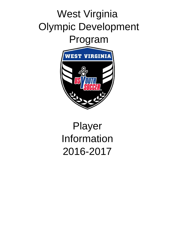## West Virginia Olympic Development Program



# Player Information 2016-2017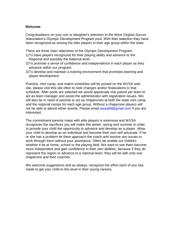#### **Welcome**

Congratulations on your son or daughter's selection to the West Virginia Soccer Association's Olympic Development Program pool. With their selection they have been recognized as among the elite players in their age group within the state.

There are three main objectives of the Olympic Development Program:

- 1)To have players recognized for their playing ability and advance to the Regional and possibly the National level.
- 2)To promote a sense of confidence and independence in each player as they advance within our program.
- 3)To develop and maintain a training environment that promotes learning and player development.

Practice, mini camp, and match schedules will be posted on the WVSA web site, please visit this site often to note changes and/or finalizations to that schedule. After pools are selected we would appreciate one parent per team to act as team manager and assist the administrator with registration issues. We will also be in need of parents to act as chaperones at both the state mini camp and the regional camps for each age group. Without a chaperone players will not be able to attend either events. Please email awyatt9@gmail.com if you are interested.

The commitment parents make with elite players is extensive and WVSA recognizes the sacrifices you will make this winter, spring and summer in order to provide your child the opportunity to advance and develop as a player. Allow your child to develop as an individual and become their own self advocate. If he or she has a problem let them approach the coach and resolve any issues or work through them without your assistance. Often we enable our children whether it be at home, school or the playing field. We want to see them become more independent and gain confidence in their own abilities, because if they do represent the region or advance to a national team, they will be with only one chaperone and their coaches.

We welcome suggestions and as always, recognize the effort each of you has made to get your child to this level in their young careers.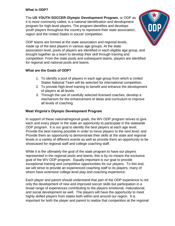### **What is ODP?**

The **US YOUTH SOCCER Olympic Development Program**, or ODP as it is more commonly called, is a national identification and development program for high-level players. The program identifies and develops youth players throughout the country to represent their state association, region and the United States in soccer competition.



ODP teams are formed at the state association and regional levels, made up of the best players in various age groups. At the state association level, pools of players are identified in each eligible age group, and brought together as a team to develop their skill through training and competition. From the state pools and subsequent teams, players are identified for regional and national pools and teams.

## **What are the Goals of ODP?**

- 1. To identify a pool of players in each age group from which a United States National Team will be selected for international competition.
- 2. To provide high-level training to benefit and enhance the development of players at all levels.
- 3. Through the use of carefully selected licensed coaches, develop a mechanism for the enhancement of ideas and curriculum to improve all levels of coaching.

## **West Virginia's Olympic Development Program**

In support of these national/regional goals, the WV ODP program strives to give each and every player in the state an opportunity to participate in the statewide ODP program. It is our goal to identify the best players at each age level; Provide the best training possible in order to move players to the next level; and Provide them an opportunity to demonstrate their skills at the state and regional levels in a variety of different events as well as provide them an opportunity to be showcased for regional staff and college coaching staff.

While it is the ultimately the goal of the state program to have our players represented in the regional pools and teams, this is by no means the exclusive goal of the WV ODP program. Equally important is our goal to provide exceptional training and competitive opportunities for our players. To this end, we will strive to provide an experienced coaching staff to its players, many of whom have extensive college level play and coaching experience.

Each player and parent should understand that part of the ODP experience is not only the development of new and improved soccer skills but participation in a broad range of experiences contributing to the players emotional, maturational, and social development as well. The players will have the opportunity to meet highly skilled players from states both within and around our region. It is important for both the player and parent to realize that competition at the regional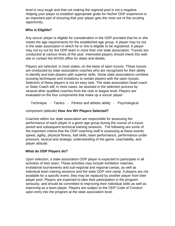level is very tough and that not making the regional pool is not a negative. Helping your player to establish appropriate goals for his/her ODP experience is an important part of ensuring that your player gets the most out of this exciting opportunity.

## **Who is Eligible?**

Any soccer player is eligible for consideration in the ODP provided that he or she meets the age requirements for the established age group. A player may try out in the state association in which he or she is eligible to be registered. A player may not try out for the ODP team in more than one state association. Tryouts are conducted at various times of the year. Interested players should check this web site or contact the WVSA office for dates and details.

Players are selected, in most states, on the basis of open tryouts. These tryouts are conducted by state association coaches who are recognized for their ability to identify and train players with superior skills. Some state associations combine scouting techniques and invitations to certain players with the open tryouts. Selection of these players is not an easy task. The state association head coach or State Coach will, in most cases, be assisted in the selection process by several other qualified coaches from the club or league level. Players are evaluated on the four components that make up a soccer player:

Technique - Tactics - Fitness and athletic ability - Psychological

## component (attitude) **How Are WV Players Selected?**

Coaches within our state association are responsible for assessing the performance of each player in a given age group during the course of a tryout period and subsequent technical training sessions. The following are some of the important criteria that the ODP coaching staff is assessing at these events: speed, agility, physical fitness, ball skills, team performance, performance under pressure, tactical and strategic understanding of the game, coachability, and player attitude.

## **What do ODP Players do?**

Upon selection, a state association ODP player is expected to participate in all activities of their team. These activities may include exhibition matches, invitational tournaments and sub-regional and regional camps, as well as individual team training sessions and the state ODP mini camp. If players are not available for a specific event, they may be replaced by another player from their player pool. Players are expected to take their participation in the program seriously, and should be committed to improving their individual skills as well as improving as a team player. Players are subject to the ODP Code of Conduct upon entry into the program at the state association level.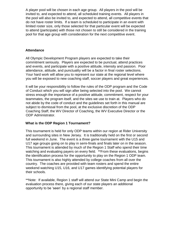A player pool will be chosen in each age group. All players in the pool will be invited to, and expected to attend, all scheduled training events. All players in the pool will also be invited to, and expected to attend, all competitive events that do not have roster limits. If a team is scheduled to participate in an event with limited roster size, only those selected for that particular event will be expected to attend (participate) with those not chosen to still be considered in the training pool for that age group with consideration for the next competitive event.

#### **Attendance**

All Olympic Development Program players are expected to take their commitment seriously. Players are expected to be punctual, attend practices and events, and participate with a positive attitude, intensity and passion. Poor attendance, attitude, and punctuality will be a factor in final roster selections. Your hard work will allow you to represent our state at the regional level where you will be exposed to new coaching staff, soccer players and great experiences.

It will be your responsibility to follow the rules of the ODP program and the Code of Conduct which you will sign after being selected into the pool. We cannot stress enough the importance of a positive attitude, commitment, respect for your teammates, the program itself, and the sites we use to train at. Players who do not abide by the code of conduct and the guidelines set forth in this manual are subject to dismissal from the pool, at the exclusive discretion of the ODP Coaching Staff, the WV Director of Coaching, the WV Executive Director or the ODP Administrator.

## **What is the ODP Region 1 Tournament?**

This tournament is held for only ODP teams within our region at Rider University and surrounding sites in New Jersey. It is traditionally held on the first or second full weekend in June. The event is a three game tournament with the U15 and U17 age groups going on to play in semi-finals and finals later on in the season. This tournament is attended by much of the Region 1 Staff who spend their time watching and evaluating payers on every field. \*\*From these evaluations, begins the identification process for the opportunity to play on the Region 1 ODP team. This tournament is also highly attended by college coaches from all over the country. The coaches are provided with team rosters and spend the entire weekend watching U15, U16, and U17 games identifying potential players for their schools.

\*\*Note: If available, Region 1 staff will attend our State Mini Camp and begin the evaluation process there, giving each of our state players an additional opportunity to be 'seen' by a regional staff member.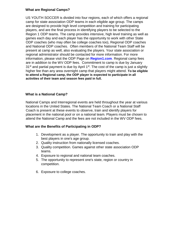#### **What are Regional Camps?**

US YOUTH SOCCER is divided into four regions, each of which offers a regional camp for state association ODP teams in each eligible age group. The camps are designed to provide high level competition and training for participating players, and are the final process in identifying players to be selected to the Region 1 ODP teams. The camp provides intensive, high level training as well as games each day and each player has the opportunity to work with other State ODP coaches (who may often be college coaches too), Regional ODP coaches and National ODP coaches. Often members of the National Team Staff will be present at camp as well, also evaluating the players. Your state association or regional administrator should be contacted for more information. For more information, please visit the ODP Page on **Region1.com**. Regional camp fees are in addition to the WV ODP fees. Commitment to camp is due by January  $31<sup>st</sup>$  and partial payment is due by April  $1<sup>st</sup>$ . The cost of the camp is just a slightly higher fee than any area overnight camp that players might attend. **To be eligible to attend a Regional camp, the ODP player is expected to participate in all activities of their team and season fees paid in full.** 

## **What is a National Camp?**

National Camps and Interregional events are held throughout the year at various locations in the United States. The National Team Coach or a National Staff Coach is present at these events to observe, train and identify players for placement in the national pool or on a national team. Players must be chosen to attend the National Camp and the fees are not included in the WV ODP fees.

## **What are the Benefits of Participating in ODP?**

- 1. Development as a player. The opportunity to train and play with the best players in one's age group.
- 2. Quality instruction from nationally licensed coaches.
- 3. Quality competition. Games against other state association ODP teams.
- 4. Exposure to regional and national team coaches.
- 5. The opportunity to represent one's state, region or country in competition.
- 6. Exposure to college coaches.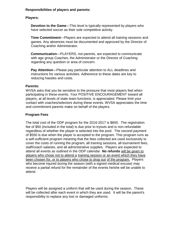#### **Responsibilities of players and parents:**

## **Players:**

**Devotion to the Game**—This level is typically represented by players who have selected soccer as their sole competitive activity.

**Time Commitment**—Players are expected to attend all training sessions and games. Any absences must be documented and approved by the Director of Coaching and/or Administrator.

**Communication**—PLAYERS, not parents, are expected to communicate with age group Coaches, the Administrator or the Director of Coaching regarding any question or area of concern.

**Pay Attention**—Please pay particular attention to ALL deadlines and instructions for various activities. Adherence to these dates are key to reducing hassles and costs.

#### **Parents:**

WVSA asks that you be sensitive to the pressure that most players feel when participating in these events. Your POSITIVE ENCOURAGEMENT toward all players, at all levels of state team functions, is appreciated. Please limit your contact with coaches/selectors during these events. WVSA appreciates the time and commitment parents make on behalf of the players.

## **Program Fees**

The total cost of the ODP program for the 2016-2017 is \$600. The registration fee of \$50 (included in the total) is due prior to tryouts and is non-refundable regardless of whether the player is selected into the pool. The second payment of \$550 is due when the player is accepted to the program. This program runs as a self-sufficient program meaning that the fees collected are used exclusively to cover the costs of running the program, all training sessions, all tournament fees, staff/coach salaries, and all administrative supplies. Players are expected to attend all events as outlined in the ODP calendar. **No refunds** will be given to players who chose not to attend a training session or an event which they have been chosen for, or to players who chose to drop out of the program. Players who become injured during the season (with a signed medical excuse) may receive a partial refund for the remainder of the events he/she will be unable to attend.

Players will be assigned a uniform that will be used during the season. These will be collected after each event in which they are used. It will be the parent's responsibility to replace any lost or damaged uniforms.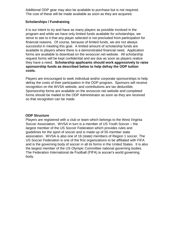Additional ODP gear may also be available to purchase but is not required. The cost of these will be made available as soon as they are acquired.

## **Scholarships / Fundraising**

It is our intent to try and have as many players as possible involved in the program and while we have only limited funds available for scholarships, we strive to see to it that any player selected is not precluded from participation for financial reasons. Of course, because of limited funds, we are not always successful in meeting this goal. A limited amount of scholarship funds are available to players where there is a demonstrated financial need. Application forms are available to download on the wvsoccer.net website. All scholarship request forms will be kept confidential and are due as soon as players realize they have a need. **Scholarship applicants should work aggressively to raise sponsorship funds as described below to help defray the ODP tuition costs.** 

Players are encouraged to seek individual and/or corporate sponsorships to help defray the costs of their participation in the ODP program. Sponsors will receive recognition on the WVSA website, and contributions are tax deductible. Sponsorship forms are available on the wvsoccer.net website and completed forms should be mailed to the ODP Administrator as soon as they are received so that recognition can be made.

#### **ODP Structure**

Players are registered with a club or team which belongs to the West Virginia Soccer Association. WVSA in turn is a member of US Youth Soccer – the largest member of the US Soccer Federation which provides rules and guidelines for the sport of soccer and is made up of 55 member state association. WVSA is also one of 16 (state) members of Region 1 soccer. The US Soccer Federation is one of the first organizations to be affiliated with FIFA and is the governing body of soccer in all its forms in the United States. It is also the largest member of the US Olympic Committee national governing bodies. The Federation International de Football (FIFA) is soccer's world governing body.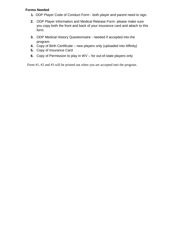### **Forms Needed**

- **1.** ODP Player Code of Conduct Form both player and parent need to sign.
- **2.** ODP Player Information and Medical Release Form- please make sure you copy both the front and back of your insurance card and attach to this form.
- **3.** ODP Medical History Questionnaire needed if accepted into the program.
- **4.** Copy of Birth Certificate new players only (uploaded into Affinity)
- **5.** Copy of Insurance Card
- **6.** Copy of Permission to play in WV for out-of-state players only

Form #1, #2 and #3 will be printed out when you are accepted into the program.